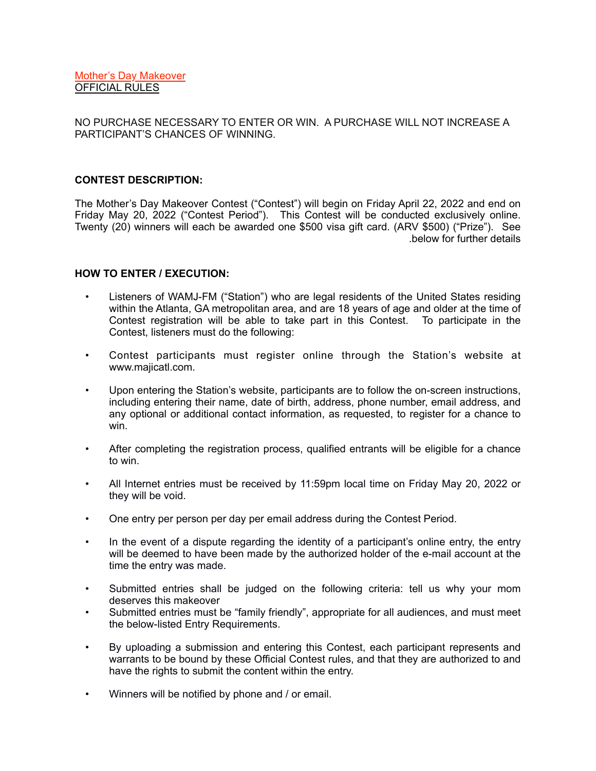NO PURCHASE NECESSARY TO ENTER OR WIN. A PURCHASE WILL NOT INCREASE A PARTICIPANT'S CHANCES OF WINNING.

### **CONTEST DESCRIPTION:**

The Mother's Day Makeover Contest ("Contest") will begin on Friday April 22, 2022 and end on Friday May 20, 2022 ("Contest Period"). This Contest will be conducted exclusively online. Twenty (20) winners will each be awarded one \$500 visa gift card. (ARV \$500) ("Prize"). See below for further details.

# **HOW TO ENTER / EXECUTION:**

- Listeners of WAMJ-FM ("Station") who are legal residents of the United States residing within the Atlanta, GA metropolitan area, and are 18 years of age and older at the time of Contest registration will be able to take part in this Contest. To participate in the Contest, listeners must do the following:
- Contest participants must register online through the Station's website at www.majicatl.com.
- Upon entering the Station's website, participants are to follow the on-screen instructions, including entering their name, date of birth, address, phone number, email address, and any optional or additional contact information, as requested, to register for a chance to win.
- After completing the registration process, qualified entrants will be eligible for a chance to win.
- All Internet entries must be received by 11:59pm local time on Friday May 20, 2022 or they will be void.
- One entry per person per day per email address during the Contest Period.
- In the event of a dispute regarding the identity of a participant's online entry, the entry will be deemed to have been made by the authorized holder of the e-mail account at the time the entry was made.
- Submitted entries shall be judged on the following criteria: tell us why your mom deserves this makeover
- Submitted entries must be "family friendly", appropriate for all audiences, and must meet the below-listed Entry Requirements.
- By uploading a submission and entering this Contest, each participant represents and warrants to be bound by these Official Contest rules, and that they are authorized to and have the rights to submit the content within the entry.
- Winners will be notified by phone and / or email.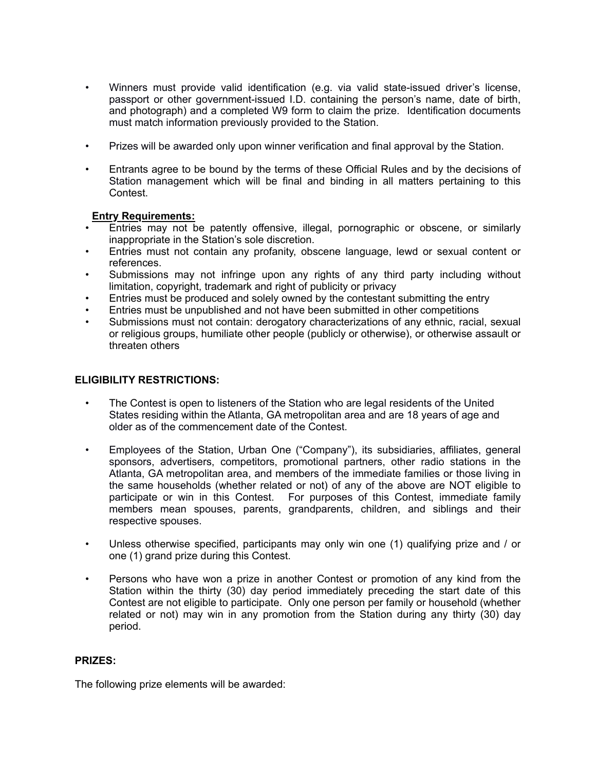- Winners must provide valid identification (e.g. via valid state-issued driver's license, passport or other government-issued I.D. containing the person's name, date of birth, and photograph) and a completed W9 form to claim the prize. Identification documents must match information previously provided to the Station.
- Prizes will be awarded only upon winner verification and final approval by the Station.
- Entrants agree to be bound by the terms of these Official Rules and by the decisions of Station management which will be final and binding in all matters pertaining to this Contest.

# **Entry Requirements:**

- Entries may not be patently offensive, illegal, pornographic or obscene, or similarly inappropriate in the Station's sole discretion.
- Entries must not contain any profanity, obscene language, lewd or sexual content or references.
- Submissions may not infringe upon any rights of any third party including without limitation, copyright, trademark and right of publicity or privacy
- Entries must be produced and solely owned by the contestant submitting the entry
- Entries must be unpublished and not have been submitted in other competitions
- Submissions must not contain: derogatory characterizations of any ethnic, racial, sexual or religious groups, humiliate other people (publicly or otherwise), or otherwise assault or threaten others

# **ELIGIBILITY RESTRICTIONS:**

- The Contest is open to listeners of the Station who are legal residents of the United States residing within the Atlanta, GA metropolitan area and are 18 years of age and older as of the commencement date of the Contest.
- Employees of the Station, Urban One ("Company"), its subsidiaries, affiliates, general sponsors, advertisers, competitors, promotional partners, other radio stations in the Atlanta, GA metropolitan area, and members of the immediate families or those living in the same households (whether related or not) of any of the above are NOT eligible to participate or win in this Contest. For purposes of this Contest, immediate family members mean spouses, parents, grandparents, children, and siblings and their respective spouses.
- Unless otherwise specified, participants may only win one (1) qualifying prize and / or one (1) grand prize during this Contest.
- Persons who have won a prize in another Contest or promotion of any kind from the Station within the thirty (30) day period immediately preceding the start date of this Contest are not eligible to participate. Only one person per family or household (whether related or not) may win in any promotion from the Station during any thirty (30) day period.

#### **PRIZES:**

The following prize elements will be awarded: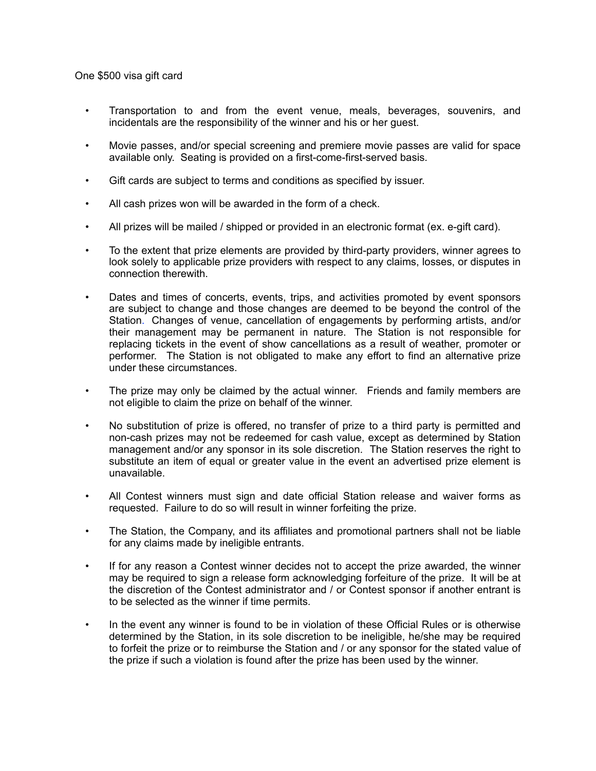One \$500 visa gift card

- Transportation to and from the event venue, meals, beverages, souvenirs, and incidentals are the responsibility of the winner and his or her guest.
- Movie passes, and/or special screening and premiere movie passes are valid for space available only. Seating is provided on a first-come-first-served basis.
- Gift cards are subject to terms and conditions as specified by issuer.
- All cash prizes won will be awarded in the form of a check.
- All prizes will be mailed / shipped or provided in an electronic format (ex. e-gift card).
- To the extent that prize elements are provided by third-party providers, winner agrees to look solely to applicable prize providers with respect to any claims, losses, or disputes in connection therewith.
- Dates and times of concerts, events, trips, and activities promoted by event sponsors are subject to change and those changes are deemed to be beyond the control of the Station. Changes of venue, cancellation of engagements by performing artists, and/or their management may be permanent in nature. The Station is not responsible for replacing tickets in the event of show cancellations as a result of weather, promoter or performer. The Station is not obligated to make any effort to find an alternative prize under these circumstances.
- The prize may only be claimed by the actual winner. Friends and family members are not eligible to claim the prize on behalf of the winner.
- No substitution of prize is offered, no transfer of prize to a third party is permitted and non-cash prizes may not be redeemed for cash value, except as determined by Station management and/or any sponsor in its sole discretion. The Station reserves the right to substitute an item of equal or greater value in the event an advertised prize element is unavailable.
- All Contest winners must sign and date official Station release and waiver forms as requested. Failure to do so will result in winner forfeiting the prize.
- The Station, the Company, and its affiliates and promotional partners shall not be liable for any claims made by ineligible entrants.
- If for any reason a Contest winner decides not to accept the prize awarded, the winner may be required to sign a release form acknowledging forfeiture of the prize. It will be at the discretion of the Contest administrator and / or Contest sponsor if another entrant is to be selected as the winner if time permits.
- In the event any winner is found to be in violation of these Official Rules or is otherwise determined by the Station, in its sole discretion to be ineligible, he/she may be required to forfeit the prize or to reimburse the Station and / or any sponsor for the stated value of the prize if such a violation is found after the prize has been used by the winner.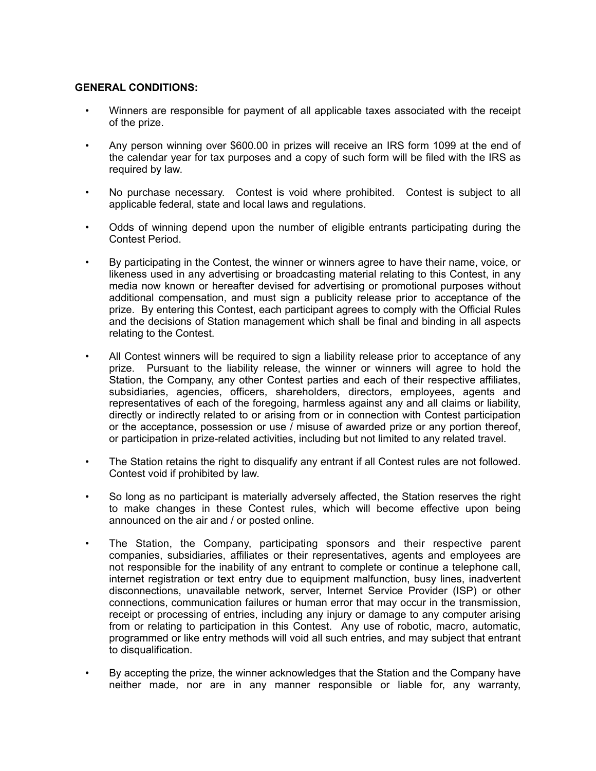# **GENERAL CONDITIONS:**

- Winners are responsible for payment of all applicable taxes associated with the receipt of the prize.
- Any person winning over \$600.00 in prizes will receive an IRS form 1099 at the end of the calendar year for tax purposes and a copy of such form will be filed with the IRS as required by law.
- No purchase necessary. Contest is void where prohibited. Contest is subject to all applicable federal, state and local laws and regulations.
- Odds of winning depend upon the number of eligible entrants participating during the Contest Period.
- By participating in the Contest, the winner or winners agree to have their name, voice, or likeness used in any advertising or broadcasting material relating to this Contest, in any media now known or hereafter devised for advertising or promotional purposes without additional compensation, and must sign a publicity release prior to acceptance of the prize. By entering this Contest, each participant agrees to comply with the Official Rules and the decisions of Station management which shall be final and binding in all aspects relating to the Contest.
- All Contest winners will be required to sign a liability release prior to acceptance of any prize. Pursuant to the liability release, the winner or winners will agree to hold the Station, the Company, any other Contest parties and each of their respective affiliates, subsidiaries, agencies, officers, shareholders, directors, employees, agents and representatives of each of the foregoing, harmless against any and all claims or liability, directly or indirectly related to or arising from or in connection with Contest participation or the acceptance, possession or use / misuse of awarded prize or any portion thereof, or participation in prize-related activities, including but not limited to any related travel.
- The Station retains the right to disqualify any entrant if all Contest rules are not followed. Contest void if prohibited by law.
- So long as no participant is materially adversely affected, the Station reserves the right to make changes in these Contest rules, which will become effective upon being announced on the air and / or posted online.
- The Station, the Company, participating sponsors and their respective parent companies, subsidiaries, affiliates or their representatives, agents and employees are not responsible for the inability of any entrant to complete or continue a telephone call, internet registration or text entry due to equipment malfunction, busy lines, inadvertent disconnections, unavailable network, server, Internet Service Provider (ISP) or other connections, communication failures or human error that may occur in the transmission, receipt or processing of entries, including any injury or damage to any computer arising from or relating to participation in this Contest. Any use of robotic, macro, automatic, programmed or like entry methods will void all such entries, and may subject that entrant to disqualification.
- By accepting the prize, the winner acknowledges that the Station and the Company have neither made, nor are in any manner responsible or liable for, any warranty,